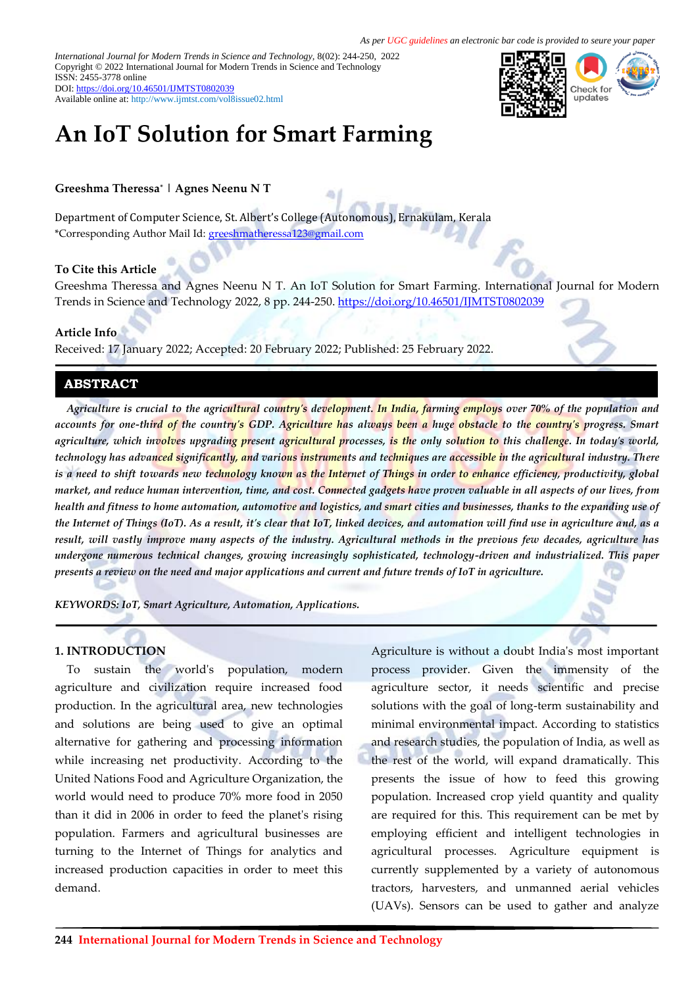*International Journal for Modern Trends in Science and Technology,* 8(02): 244-250, 2022 Copyright © 2022 International Journal for Modern Trends in Science and Technology ISSN: 2455-3778 online DOI[: https://doi.org/10.46501/IJMTST0802039](https://doi.org/10.46501/IJMTST0802039)

Available online at:<http://www.ijmtst.com/vol8issue02.html>



# **An IoT Solution for Smart Farming**

## **Greeshma Theressa\* | Agnes Neenu N T**

Department of Computer Science, St. Albert's College (Autonomous), Ernakulam, Kerala \*Corresponding Author Mail Id: [greeshmatheressa123@gmail.com](mailto:greeshmatheressa123@gmail.com)

## **To Cite this Article**

Greeshma Theressa and Agnes Neenu N T. An IoT Solution for Smart Farming. International Journal for Modern Trends in Science and Technology 2022, 8 pp. 244-250. <https://doi.org/10.46501/IJMTST0802039>

#### **Article Info**

Received: 17 January 2022; Accepted: 20 February 2022; Published: 25 February 2022.

### **ABSTRACT**

*Agriculture is crucial to the agricultural country's development. In India, farming employs over 70% of the population and accounts for one-third of the country's GDP. Agriculture has always been a huge obstacle to the country's progress. Smart agriculture, which involves upgrading present agricultural processes, is the only solution to this challenge. In today's world, technology has advanced significantly, and various instruments and techniques are accessible in the agricultural industry. There is a need to shift towards new technology known as the Internet of Things in order to enhance efficiency, productivity, global market, and reduce human intervention, time, and cost. Connected gadgets have proven valuable in all aspects of our lives, from health and fitness to home automation, automotive and logistics, and smart cities and businesses, thanks to the expanding use of the Internet of Things (IoT). As a result, it's clear that IoT, linked devices, and automation will find use in agriculture and, as a result, will vastly improve many aspects of the industry. Agricultural methods in the previous few decades, agriculture has undergone numerous technical changes, growing increasingly sophisticated, technology-driven and industrialized. This paper presents a review on the need and major applications and current and future trends of IoT in agriculture.*

*KEYWORDS: IoT, Smart Agriculture, Automation, Applications.*

### **1. INTRODUCTION**

To sustain the world's population, modern agriculture and civilization require increased food production. In the agricultural area, new technologies and solutions are being used to give an optimal alternative for gathering and processing information while increasing net productivity. According to the United Nations Food and Agriculture Organization, the world would need to produce 70% more food in 2050 than it did in 2006 in order to feed the planet's rising population. Farmers and agricultural businesses are turning to the Internet of Things for analytics and increased production capacities in order to meet this demand.

Agriculture is without a doubt India's most important process provider. Given the immensity of the agriculture sector, it needs scientific and precise solutions with the goal of long-term sustainability and minimal environmental impact. According to statistics and research studies, the population of India, as well as the rest of the world, will expand dramatically. This presents the issue of how to feed this growing population. Increased crop yield quantity and quality are required for this. This requirement can be met by employing efficient and intelligent technologies in agricultural processes. Agriculture equipment is currently supplemented by a variety of autonomous tractors, harvesters, and unmanned aerial vehicles (UAVs). Sensors can be used to gather and analyze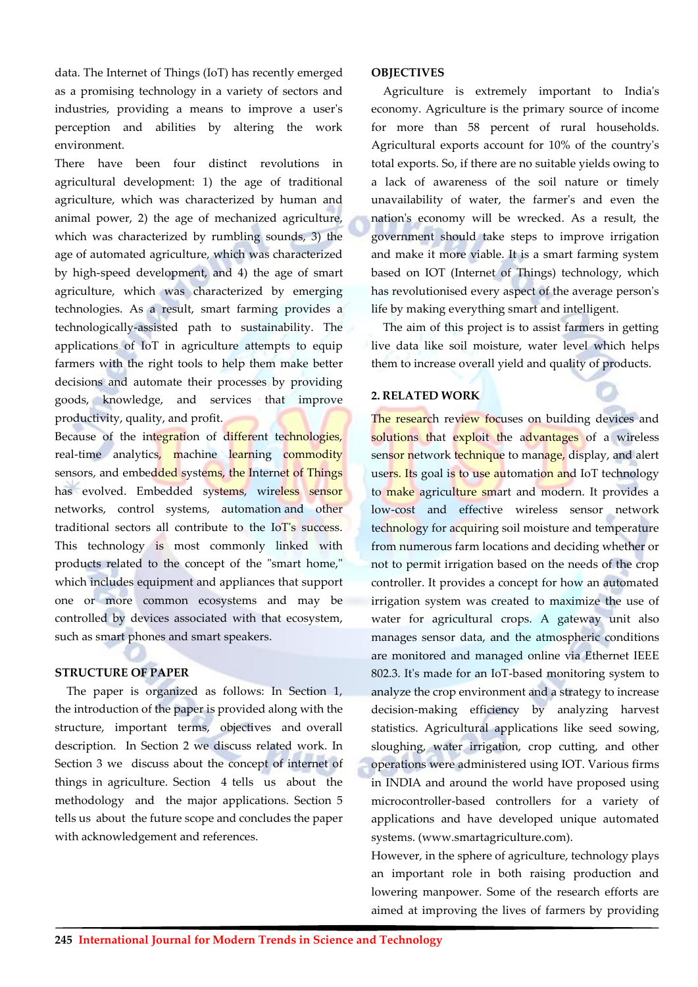data. The Internet of Things (IoT) has recently emerged as a promising technology in a variety of sectors and industries, providing a means to improve a user's perception and abilities by altering the work environment.

There have been four distinct revolutions in agricultural development: 1) the age of traditional agriculture, which was characterized by human and animal power, 2) the age of mechanized agriculture, which was characterized by rumbling sounds, 3) the age of automated agriculture, which was characterized by high-speed development, and 4) the age of smart agriculture, which was characterized by emerging technologies. As a result, smart farming provides a technologically-assisted path to sustainability. The applications of IoT in agriculture attempts to equip farmers with the right tools to help them make better decisions and automate their processes by providing goods, knowledge, and services that improve productivity, quality, and profit.

Because of the integration of different technologies, real-time analytics, machine learning commodity sensors, and embedded systems, the Internet of Things has evolved. Embedded systems, wireless sensor networks, control systems, automation and other traditional sectors all contribute to the IoT's success. This technology is most commonly linked with products related to the concept of the "smart home," which includes equipment and appliances that support one or more common ecosystems and may be controlled by devices associated with that ecosystem, such as smart phones and smart speakers.

### **STRUCTURE OF PAPER**

The paper is organized as follows: In Section 1, the introduction of the paper is provided along with the structure, important terms, objectives and overall description. In Section 2 we discuss related work. In Section 3 we discuss about the concept of internet of things in agriculture. Section 4 tells us about the methodology and the major applications. Section 5 tells us about the future scope and concludes the paper with acknowledgement and references.

#### **OBJECTIVES**

Agriculture is extremely important to India's economy. Agriculture is the primary source of income for more than 58 percent of rural households. Agricultural exports account for 10% of the country's total exports. So, if there are no suitable yields owing to a lack of awareness of the soil nature or timely unavailability of water, the farmer's and even the nation's economy will be wrecked. As a result, the government should take steps to improve irrigation and make it more viable. It is a smart farming system based on IOT (Internet of Things) technology, which has revolutionised every aspect of the average person's life by making everything smart and intelligent.

The aim of this project is to assist farmers in getting live data like soil moisture, water level which helps them to increase overall yield and quality of products.

#### **2. RELATED WORK**

The research review focuses on building devices and solutions that exploit the advantages of a wireless sensor network technique to manage, display, and alert users. Its goal is to use automation and IoT technology to make agriculture smart and modern. It provides a low-cost and effective wireless sensor network technology for acquiring soil moisture and temperature from numerous farm locations and deciding whether or not to permit irrigation based on the needs of the crop controller. It provides a concept for how an automated irrigation system was created to maximize the use of water for agricultural crops. A gateway unit also manages sensor data, and the atmospheric conditions are monitored and managed online via Ethernet IEEE 802.3. It's made for an IoT-based monitoring system to analyze the crop environment and a strategy to increase decision-making efficiency by analyzing harvest statistics. Agricultural applications like seed sowing, sloughing, water irrigation, crop cutting, and other operations were administered using IOT. Various firms in INDIA and around the world have proposed using microcontroller-based controllers for a variety of applications and have developed unique automated systems. (www.smartagriculture.com).

However, in the sphere of agriculture, technology plays an important role in both raising production and lowering manpower. Some of the research efforts are aimed at improving the lives of farmers by providing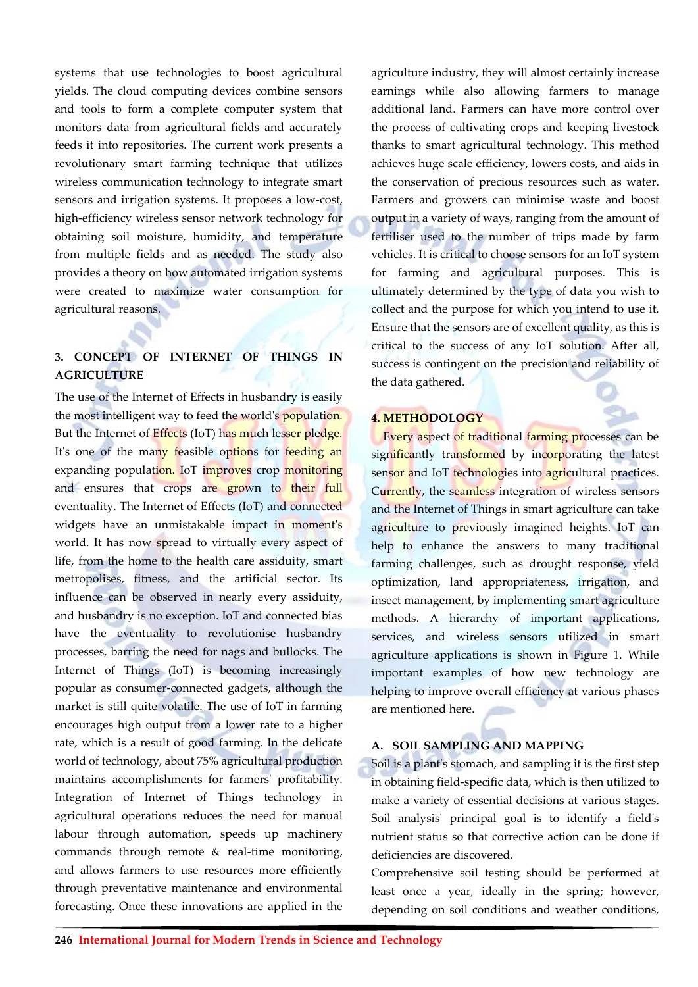systems that use technologies to boost agricultural yields. The cloud computing devices combine sensors and tools to form a complete computer system that monitors data from agricultural fields and accurately feeds it into repositories. The current work presents a revolutionary smart farming technique that utilizes wireless communication technology to integrate smart sensors and irrigation systems. It proposes a low-cost, high-efficiency wireless sensor network technology for obtaining soil moisture, humidity, and temperature from multiple fields and as needed. The study also provides a theory on how automated irrigation systems were created to maximize water consumption for agricultural reasons.

## **3. CONCEPT OF INTERNET OF THINGS IN AGRICULTURE**

The use of the Internet of Effects in husbandry is easily the most intelligent way to feed the world's **population**. But the Internet of Effects (IoT) has much lesser pledge. It's one of the many feasible options for feeding an expanding population. IoT improves crop monitoring and ensures that crops are grown to their full eventuality. The Internet of Effects (IoT) and connected widgets have an unmistakable impact in moment's world. It has now spread to virtually every aspect of life, from the home to the health care assiduity, smart metropolises, fitness, and the artificial sector. Its influence can be observed in nearly every assiduity, and husbandry is no exception. IoT and connected bias have the eventuality to revolutionise husbandry processes, barring the need for nags and bullocks. The Internet of Things (IoT) is becoming increasingly popular as consumer-connected gadgets, although the market is still quite volatile. The use of IoT in farming encourages high output from a lower rate to a higher rate, which is a result of good farming. In the delicate world of technology, about 75% agricultural production maintains accomplishments for farmers' profitability. Integration of Internet of Things technology in agricultural operations reduces the need for manual labour through automation, speeds up machinery commands through remote & real-time monitoring, and allows farmers to use resources more efficiently through preventative maintenance and environmental forecasting. Once these innovations are applied in the

agriculture industry, they will almost certainly increase earnings while also allowing farmers to manage additional land. Farmers can have more control over the process of cultivating crops and keeping livestock thanks to smart agricultural technology. This method achieves huge scale efficiency, lowers costs, and aids in the conservation of precious resources such as water. Farmers and growers can minimise waste and boost output in a variety of ways, ranging from the amount of fertiliser used to the number of trips made by farm vehicles. It is critical to choose sensors for an IoT system for farming and agricultural purposes. This is ultimately determined by the type of data you wish to collect and the purpose for which you intend to use it. Ensure that the sensors are of excellent quality, as this is critical to the success of any IoT solution. After all, success is contingent on the precision and reliability of the data gathered.

### **4. METHODOLOGY**

Every aspect of traditional farming processes can be significantly transformed by incorporating the latest sensor and IoT technologies into agricultural practices. Currently, the seamless integration of wireless sensors and the Internet of Things in smart agriculture can take agriculture to previously imagined heights. IoT can help to enhance the answers to many traditional farming challenges, such as drought response, yield optimization, land appropriateness, irrigation, and insect management, by implementing smart agriculture methods. A hierarchy of important applications, services, and wireless sensors utilized in smart agriculture applications is shown in Figure 1. While important examples of how new technology are helping to improve overall efficiency at various phases are mentioned here.

## **A. SOIL SAMPLING AND MAPPING**

Soil is a plant's stomach, and sampling it is the first step in obtaining field-specific data, which is then utilized to make a variety of essential decisions at various stages. Soil analysis' principal goal is to identify a field's nutrient status so that corrective action can be done if deficiencies are discovered.

Comprehensive soil testing should be performed at least once a year, ideally in the spring; however, depending on soil conditions and weather conditions,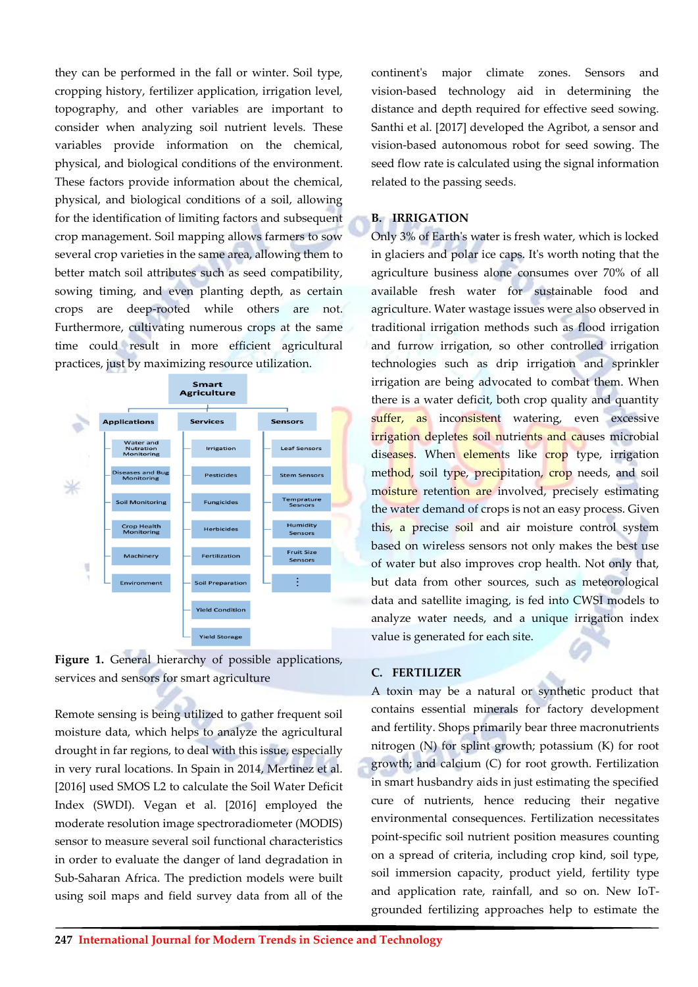they can be performed in the fall or winter. Soil type, cropping history, fertilizer application, irrigation level, topography, and other variables are important to consider when analyzing soil nutrient levels. These variables provide information on the chemical, physical, and biological conditions of the environment. These factors provide information about the chemical, physical, and biological conditions of a soil, allowing for the identification of limiting factors and subsequent crop management. Soil mapping allows farmers to sow several crop varieties in the same area, allowing them to better match soil attributes such as seed compatibility, sowing timing, and even planting depth, as certain crops are deep-rooted while others are not. Furthermore, cultivating numerous crops at the same time could result in more efficient agricultural practices, just by maximizing resource utilization.





Remote sensing is being utilized to gather frequent soil moisture data, which helps to analyze the agricultural drought in far regions, to deal with this issue, especially in very rural locations. In Spain in 2014, Mertinez et al. [2016] used SMOS L2 to calculate the Soil Water Deficit Index (SWDI). Vegan et al. [2016] employed the moderate resolution image spectroradiometer (MODIS) sensor to measure several soil functional characteristics in order to evaluate the danger of land degradation in Sub-Saharan Africa. The prediction models were built using soil maps and field survey data from all of the continent's major climate zones. Sensors and vision-based technology aid in determining the distance and depth required for effective seed sowing. Santhi et al. [2017] developed the Agribot, a sensor and vision-based autonomous robot for seed sowing. The seed flow rate is calculated using the signal information related to the passing seeds.

#### **B. IRRIGATION**

Only 3% of Earth's water is fresh water, which is locked in glaciers and polar ice caps. It's worth noting that the agriculture business alone consumes over 70% of all available fresh water for sustainable food and agriculture. Water wastage issues were also observed in traditional irrigation methods such as flood irrigation and furrow irrigation, so other controlled irrigation technologies such as drip irrigation and sprinkler irrigation are being advocated to combat them. When there is a water deficit, both crop quality and quantity suffer, as inconsistent watering, even excessive irrigation depletes soil nutrients and causes microbial diseases. When elements like crop type, irrigation method, soil type, precipitation, crop needs, and soil moisture retention are involved, precisely estimating the water demand of crops is not an easy process. Given this, a precise soil and air moisture control system based on wireless sensors not only makes the best use of water but also improves crop health. Not only that, but data from other sources, such as meteorological data and satellite imaging, is fed into CWSI models to analyze water needs, and a unique irrigation index value is generated for each site.

#### **C. FERTILIZER**

A toxin may be a natural or synthetic product that contains essential minerals for factory development and fertility. Shops primarily bear three macronutrients nitrogen (N) for splint growth; potassium (K) for root growth; and calcium (C) for root growth. Fertilization in smart husbandry aids in just estimating the specified cure of nutrients, hence reducing their negative environmental consequences. Fertilization necessitates point-specific soil nutrient position measures counting on a spread of criteria, including crop kind, soil type, soil immersion capacity, product yield, fertility type and application rate, rainfall, and so on. New IoTgrounded fertilizing approaches help to estimate the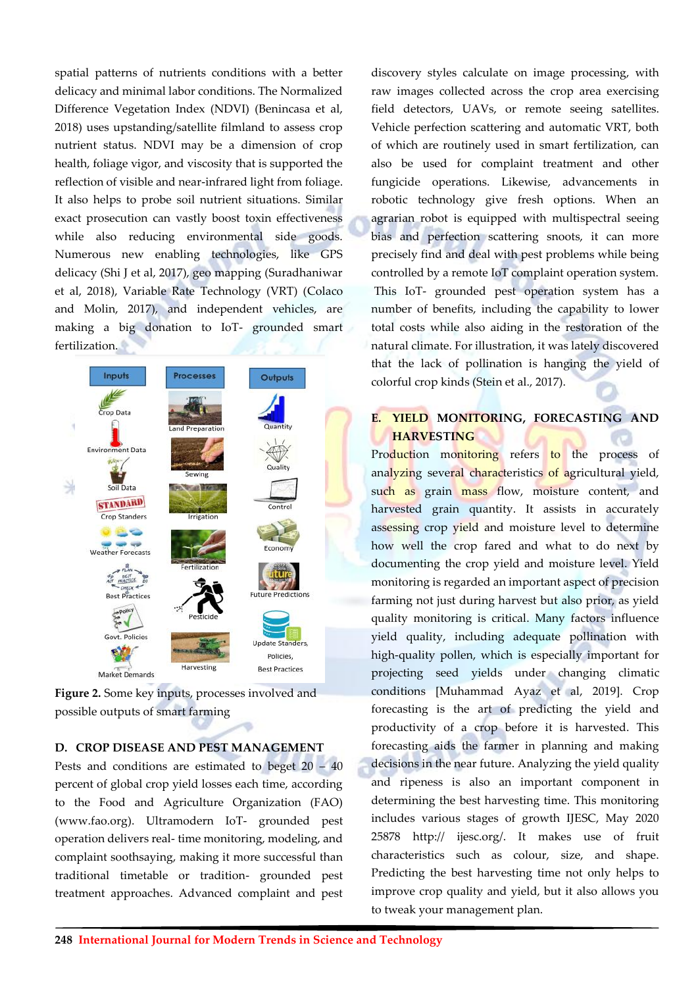spatial patterns of nutrients conditions with a better delicacy and minimal labor conditions. The Normalized Difference Vegetation Index (NDVI) (Benincasa et al, 2018) uses upstanding/satellite filmland to assess crop nutrient status. NDVI may be a dimension of crop health, foliage vigor, and viscosity that is supported the reflection of visible and near-infrared light from foliage. It also helps to probe soil nutrient situations. Similar exact prosecution can vastly boost toxin effectiveness while also reducing environmental side goods. Numerous new enabling technologies, like GPS delicacy (Shi J et al, 2017), geo mapping (Suradhaniwar et al, 2018), Variable Rate Technology (VRT) (Colaco and Molin, 2017), and independent vehicles, are making a big donation to IoT- grounded smart fertilization.



**Figure 2.** Some key inputs, processes involved and possible outputs of smart farming

### **D. CROP DISEASE AND PEST MANAGEMENT**

Pests and conditions are estimated to beget 20 – 40 percent of global crop yield losses each time, according to the Food and Agriculture Organization (FAO) (www.fao.org). Ultramodern IoT- grounded pest operation delivers real- time monitoring, modeling, and complaint soothsaying, making it more successful than traditional timetable or tradition- grounded pest treatment approaches. Advanced complaint and pest

discovery styles calculate on image processing, with raw images collected across the crop area exercising field detectors, UAVs, or remote seeing satellites. Vehicle perfection scattering and automatic VRT, both of which are routinely used in smart fertilization, can also be used for complaint treatment and other fungicide operations. Likewise, advancements in robotic technology give fresh options. When an agrarian robot is equipped with multispectral seeing bias and perfection scattering snoots, it can more precisely find and deal with pest problems while being controlled by a remote IoT complaint operation system. This IoT- grounded pest operation system has a number of benefits, including the capability to lower total costs while also aiding in the restoration of the natural climate. For illustration, it was lately discovered that the lack of pollination is hanging the yield of colorful crop kinds (Stein et al., 2017).

## **E. YIELD MONITORING, FORECASTING AND HARVESTING**

Production monitoring refers to the process of analyzing several characteristics of agricultural yield, such as grain mass flow, moisture content, and harvested grain quantity. It assists in accurately assessing crop yield and moisture level to determine how well the crop fared and what to do next by documenting the crop yield and moisture level. Yield monitoring is regarded an important aspect of precision farming not just during harvest but also prior, as yield quality monitoring is critical. Many factors influence yield quality, including adequate pollination with high-quality pollen, which is especially important for projecting seed yields under changing climatic conditions [Muhammad Ayaz et al, 2019]. Crop forecasting is the art of predicting the yield and productivity of a crop before it is harvested. This forecasting aids the farmer in planning and making decisions in the near future. Analyzing the yield quality and ripeness is also an important component in determining the best harvesting time. This monitoring includes various stages of growth IJESC, May 2020 25878 http:// ijesc.org/. It makes use of fruit characteristics such as colour, size, and shape. Predicting the best harvesting time not only helps to improve crop quality and yield, but it also allows you to tweak your management plan.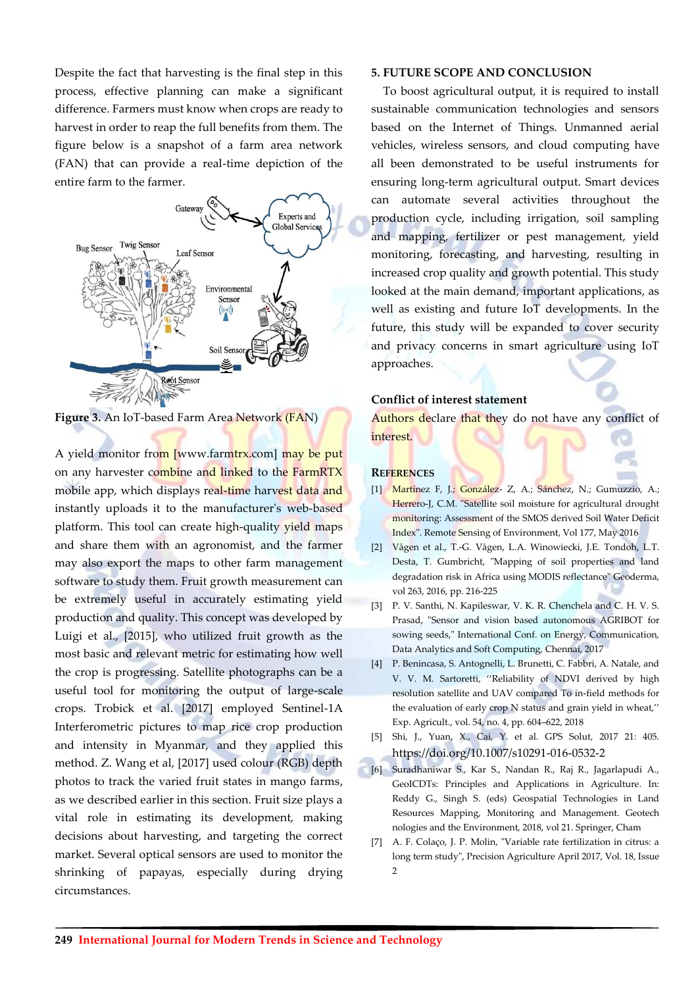Despite the fact that harvesting is the final step in this process, effective planning can make a significant difference. Farmers must know when crops are ready to harvest in order to reap the full benefits from them. The figure below is a snapshot of a farm area network (FAN) that can provide a real-time depiction of the entire farm to the farmer.



**Figure 3.** An IoT-based Farm Area Network (FAN)

A yield monitor from [www.farmtrx.com] may be put on any harvester combine and linked to the FarmRTX mobile app, which displays real-time harvest data and instantly uploads it to the manufacturer's web-based platform. This tool can create high-quality yield maps and share them with an agronomist, and the farmer may also export the maps to other farm management software to study them. Fruit growth measurement can be extremely useful in accurately estimating yield production and quality. This concept was developed by Luigi et al., [2015], who utilized fruit growth as the most basic and relevant metric for estimating how well the crop is progressing. Satellite photographs can be a useful tool for monitoring the output of large-scale crops. Trobick et al. [2017] employed Sentinel-1A Interferometric pictures to map rice crop production and intensity in Myanmar, and they applied this method. Z. Wang et al, [2017] used colour (RGB) depth photos to track the varied fruit states in mango farms, as we described earlier in this section. Fruit size plays a vital role in estimating its development, making decisions about harvesting, and targeting the correct market. Several optical sensors are used to monitor the shrinking of papayas, especially during drying circumstances.

#### **5. FUTURE SCOPE AND CONCLUSION**

To boost agricultural output, it is required to install sustainable communication technologies and sensors based on the Internet of Things. Unmanned aerial vehicles, wireless sensors, and cloud computing have all been demonstrated to be useful instruments for ensuring long-term agricultural output. Smart devices can automate several activities throughout the production cycle, including irrigation, soil sampling and mapping, fertilizer or pest management, yield monitoring, forecasting, and harvesting, resulting in increased crop quality and growth potential. This study looked at the main demand, important applications, as well as existing and future IoT developments. In the future, this study will be expanded to cover security and privacy concerns in smart agriculture using IoT approaches.

#### **Conflict of interest statement**

Authors declare that they do not have any conflict of interest.

#### **REFERENCES**

- [1] Martínez F, J.; González- Z, A.; Sánchez, N.; Gumuzzio, A.; Herrero-J, C.M. "Satellite soil moisture for agricultural drought monitoring: Assessment of the SMOS derived Soil Water Deficit Index". Remote Sensing of Environment, Vol 177, May 2016
- [2] Vågen et al., T.-G. Vågen, L.A. Winowiecki, J.E. Tondoh, L.T. Desta, T. Gumbricht, "Mapping of soil properties and land degradation risk in Africa using MODIS reflectance" Geoderma, vol 263, 2016, pp. 216-225
- [3] P. V. Santhi, N. Kapileswar, V. K. R. Chenchela and C. H. V. S. Prasad, "Sensor and vision based autonomous AGRIBOT for sowing seeds," International Conf. on Energy, Communication, Data Analytics and Soft Computing, Chennai, 2017
- [4] P. Benincasa, S. Antognelli, L. Brunetti, C. Fabbri, A. Natale, and V. V. M. Sartoretti, ''Reliability of NDVI derived by high resolution satellite and UAV compared To in-field methods for the evaluation of early crop N status and grain yield in wheat,'' Exp. Agricult., vol. 54, no. 4, pp. 604–622, 2018
- [5] Shi, J., Yuan, X., Cai, Y. et al. GPS Solut, 2017 21: 405. <https://doi.org/10.1007/s10291-016-0532-2>
- [6] Suradhaniwar S., Kar S., Nandan R., Raj R., Jagarlapudi A., GeoICDTs: Principles and Applications in Agriculture. In: Reddy G., Singh S. (eds) Geospatial Technologies in Land Resources Mapping, Monitoring and Management. Geotech nologies and the Environment, 2018, vol 21. Springer, Cham
- [7] A. F. Colaço, J. P. Molin, "Variable rate fertilization in citrus: a long term study", Precision Agriculture April 2017, Vol. 18, Issue 2